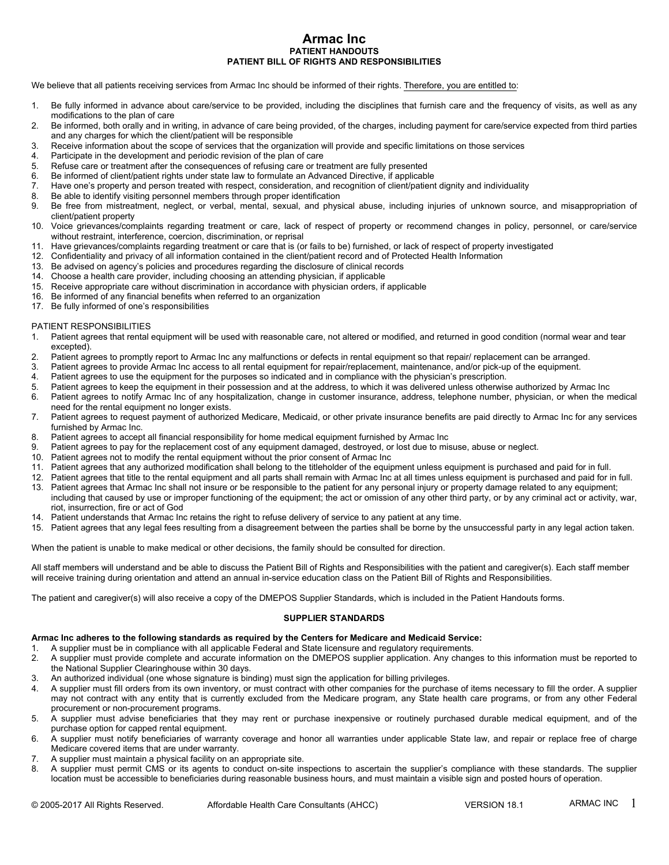# **Armac Inc PATIENT HANDOUTS PATIENT BILL OF RIGHTS AND RESPONSIBILITIES**

We believe that all patients receiving services from Armac Inc should be informed of their rights. Therefore, you are entitled to:

- modifications to the plan of care<br>Be informed, both orally and in writing, in advance of care being provided, of the charges, including payment for care/service expected from third parties
- **ATTENT BILL OF RIGHTS AND RESPONSIBILITIES**<br> **PATIENT BILL OF RIGHTS AND RESPONSIBILITIES**<br>
1. Be fully informed in advance about care/service to be provided, including the disciplines that furnish care and the frequency **2.** Be fully informed in advance about care/services from Armac Inc should be informed of their rights. Therefore, you are entitled to:<br>
2. Be fully informed in advance about care/service to be provided, including the dis and any charges for which the client/patient will be responsible<br>Receive information about the scope of services that the organization will provide and specific limitations on those services **3.** Receive information about the scope of services from Armac Inc should be informed of their rights. Therefore, you are entitled to:<br>
3. Be fully informed in advance about care/service to be provided, including the disc 4. **Armac Inc.** PATIENT BILL OF RIGHTS AND RESPONSIBLEM THANDOUTS<br>
4. The fully informed in advance about care/service to be provided, including the disciplines that<br>
4. Be fully informed in advance about care/service to b **ATTENT BILL OF RIGHTS AND RESPONSIBILITIES**<br> **PATIENT BILL OF RIGHTS AND RESPONSIBILITIES**<br>
THE SEVING THE SEVING THE CONSEQUENCE AND RESPONSIBILITIES<br>
1. Be fully informed in advance about care/service to be provided, in **EXECT MANDOUTS**<br> **EXECT PROFIENT BILL OF RIGHTS AND RESPONSIBILITIES**<br>
1. Be fully informed in advance about care/service to be provided, including the disciplines that furnish care and the freque<br>
2. Be informed in advan **PATIENT HANDOUTS**<br> **PATIENT BILL OF RIGHTS AND RESPONSIBILITIES**<br>
1. Be fully informed in advance about care/service to be provided, including the disciplines that furnish care entitled to:<br>
1. Be fully informed in advanc **PATIENT BILL OF RIGHTS AND RESPONSIBILITIE**<br>We believe that all patients receiving services from Armac Inc should be informed of their rights. Therefore<br>1. Be fully informed in advance about care/service to be provided, i We believe that all patients receiving services from Armac Inc should be informed of their rights. Therefore, you are entitled to:<br>
9. Be fully informed in advance about care/service to be provided, including the disciplin 10. Be fully informed in advance about care/service to the provided, including the disciplines that furnish care and the frequency of visits, as well as any<br>
20. Be informed, both orally and in writing, in advance of care 11. Bave the minited profit in the scope of services, the complete details and provided, of the charges, including payment for care/service expected from third parties<br>and any charges for which the scope of services that t 2. Confidentiality and in writing, in advance of care being provided, of the charges, including payment for care/service expected from the acceive information about the client/patient will be responsible<br>and any charges fo
- 
- 
- 
- 
- 
- 
- 2. Be more the development and principal the client/patient will be responsible<br>and any charges for which the client/patient will be responsible<br>3. Receive information about the scope of services that the organization will 2. Receive information about the scope of services that the organization will provide and specific limitations on the<br>4. Participate in the development and periodic revision of the plan of care<br>5. Refuse care or treatment 26. Refuse care or treatment after the consequences of refusing care in accordance with presented for the pinometer of refusing care or treatment and periodic revision of the pinometer are tully presented<br>6. Be informed of 16. Refuse care or treatment after the consequences of refusing care or treatment are fully presented.<br>
16. Be informed of client/patient rights under state law to formulate an Advanced Directive, if applicant<br>
16. Be able 17. Be fully informed of environmentation and the used with reasons of Be informed of client/patient rights under state law to formulate R. Be able to identify visiting personnel members through proper B. Be free from mist 9. Be free from mistrealment, neglect, or verbal, mental, sexual, and physical abuse, including injuries of unknown source, and misappropriation of<br>
10. Voice grievances/complaints regarding treatment or care, lack of resp
- client/patient property<br>10. Voice grievances/complaints regarding treatment or care, lack of respect of property or recommend changes in policy, personnel, or care/service without restraint, interference, coercion, discrimination, or reprisal<br>11. Have grievances/complaints regarding treatment or care that is (or fails to be) furnished, or lack of respect of property investigated 2. Patient agrees to promptly report to Armac Inc armac and the address, to which it was delivered in the armac interference, cororio, discrimination, or reported in the diversion, discrimination, or care is and procedure
- 
- 
- 
- 
- 
- 
- 

## PATIENT RESPONSIBILITIES

- excepted).<br>Patient agrees to promptly report to Armac Inc any malfunctions or defects in rental equipment so that repair/ replacement can be arranged. 3. Batient agrees to promptly report to Armac Inc armac The proposes to all rental relations of replacement of care that is (or faile to be) furnished, or all information and the control and of Protected Health Information A. Patient agrees to use the equipment for the purposes so indicated and in compliance with the purpose of the equipment and the equipment for care that is (or fails to be) furnished, or lack of respect of property investi
- 
- 
- 
- 
- 12. Confidentiality and privacy of all information contained in the client/patient record and of Protected Health Information<br>
13. Be advised on agency's policies and procedures regarding the disclosure of clinical records Fatient agrees to a patient and produce the medical medicines in the discolution of any hospitalization in according the disclosure of clinical records<br>
16. Recolve appropriate care without discrimination in accordance wit need for the rental equipment no longer exists.<br>Patient agrees to request payment of authorized Medicare, Medicaid, or other private insurance benefits are paid directly to Armac Inc for any services 15. Receive appropriate care whout discrimination in accordance with physician orders, if applicable<br>
16. Be informed of any financial benefits when referred to an organization<br>
16. Be informed of any financial benefits wh 17. Be fully informed of one's responsibilities<br>
17. Be fully informed of one's responsibilities<br>
17. Patient agrees that rental equipment will be used with reasonable care, not altered or modified, and returned in good co 1. Patient agrees to request pay for the replacement cost of any equipment damaged, destroyed, or lost or misuse, abuse or neglect.<br>Patient agrees to promptly report to Armac Inc any malfunctions or defects in rental equip PATIENT RESPONSIBILITIES<br>
1. Patient agrees that rental equipment will be used with reasonable care, not altered or modified, and returned<br>
2. Patient agrees to promptly report to Armac Inc any malfunctions or defects in r
- furnished by Armac Inc.<br>Patient agrees to accept all financial responsibility for home medical equipment furnished by Armac Inc
- 
- 
- 
- 
- 
- 11. Patient agrees that rental equipment will be used with reasonable care, not altered or modified, and returned in good condition (normal wear and team-<br>2. Patient agrees to promptly report to Armac Inc any malfunctions 22. Patient agrees to promptly report to Armac Inc any milibronchions or defects in rental equipment so that repair? replacement can be rearringed.<br>
2. Patient agrees to provide Armac Inc access to all rental equipment for 13. Patient agrees that Armac Inc shall not insure or be responsible to the patient for any personal injury or property damage related to any equipment; including that caused by use or improper functioning of the equipment; the act or omission of any other third party, or by any criminal act or activity, war, riot, insurrection, fire or act of God 15. Patient agrees to keep the equipment in their possession and at the address, to which it was delivered unless otherwise.<br>
6. Patient agrees to notify Armac Inc of any hospitalization, change in customer insurance, addr 16. Patient agrees to notify Armac in or borger solition, change in customer insurance, address, telephone number, physician, or when the medical<br>need for the renial equipment no longer exists.<br>Patient agrees to request pa
- 
- 

When the patient is unable to make medical or other decisions, the family should be consulted for direction.

All staff members will understand and be able to discuss the Patient Bill of Rights and Responsibilities with the patient and caregiver(s). Each staff member will receive training during orientation and attend an annual in-service education class on the Patient Bill of Rights and Responsibilities. 1. Patient understands that Amrac Inc retains the right to refuse delivery of service to any patient at any time.<br>
15. Patient agrees that any legal fees resulting from a disagreement between the parties shall be borne by 1. Pation in the patient and accurate the must provide complete and the paties shall be borne by the unsuccessful party in any legal action taken.<br>
2. Patient agrees that any legal fees resulting from a disagreement betwee

The patient and caregiver(s) will also receive a copy of the DMEPOS Supplier Standards, which is included in the Patient Handouts forms.

# **SUPPLIER STANDARDS**

# **Armac Inc adheres to the following standards as required by the Centers for Medicare and Medicaid Service:**

- 
- 
- the National Supplier Clearinghouse within 30 days.<br>An authorized individual (one whose signature is binding) must sign the application for billing privileges.
- When the patient is unable to make medical or other decisions, the family should be consulted for direction.<br>All staff members will understand and be able to discuss the Patient Bill of Rights and Responsibilities with the All staff members with diverstand and be able to discuss the Paileth Bill of Rights and Responsibilities with the patient and caregiver(s). Each staff member<br>All staff members will understand and be able to discuss the Pat may not contract with any entity that is currently excluded from the Medicare program, any State health care programs, or from any other Federal procurement or non-procurement programs. Supplier may advise beneficiaries that the supplier Standards, which is included in the Patient Handouts forms.<br>
The patient and caregiver(s) will also receive a copy of the DMEPOS Supplier Standards, which is included in From passint and dateres to the following standards as required by the Centers of Medicaries and Medicaid Service:<br>
1. A supplier must be in compliance with all applicable Federal and State licensure and regulatory require France Incertigative must be in compliance with all applicable Federal and State licensical A supplier must provide complete and accurate information on the DMEPOS the National Supplier Clearinghouse within 30 days.<br>A math Armac Inc adheres to the following standards as required by the Centers for Medicare and Medicaid Service:<br>
1. A supplier must be in compliede and accurate information on the DMEPOS supplier application. Any changes to thi
- purchase option for capped rental equipment.<br>A supplier must notify beneficiaries of warranty coverage and honor all warranties under applicable State law, and repair or replace free of charge
- Medicare covered items that are under warranty.<br>A supplier must maintain a physical facility on an appropriate site.
- 
- location must be accessible to beneficiaries during reasonable business hours, and must maintain a visible sign and posted hours of operation.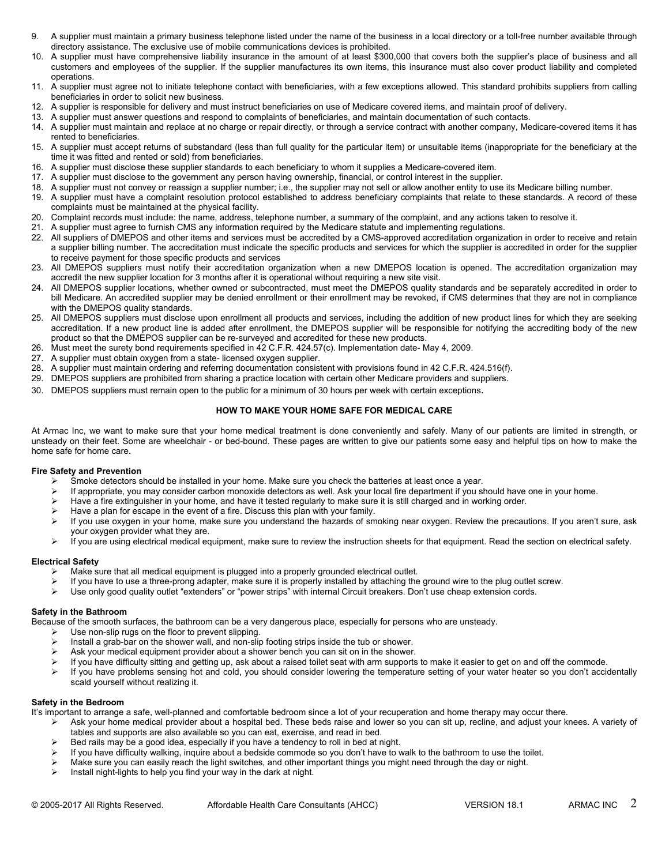- directory assistance. The exclusive use of mobile communications devices is prohibited.<br>10. A supplier must have comprehensive liability insurance in the amount of at least \$300,000 that covers both the supplier's place of
- 9. A supplier must maintain a primary business telephone listed under the name of the business in a local directory or a toll-free number available through<br>directory assistance. The exclusive use of mobile communications d 10. A supplier must maintain a primary business telephone listed under the name of the business in a local directory or a toll-free number available through<br>directory assistance. The exclusive use of mobile communications customers and employees of the supplier. If the supplier manufactures its own items, this insurance must also cover product liability and completed operations. 11. A supplier must maintain a primary business telephone listed under the name of the business in a local directory or a toll-free number available through<br>directory assistance. The exclusive use of mobile communications 2. A supplier must maintain a primary business telephone listed under the name of the business in a local directory or a toll-free number available the directory assistance. The exclusive use of mobile communications devic 13. A supplier must maintain a primary business telephone listed under the name of the business in a local directory or a toll-free number and encomproment and encomprehensive liability insurance in the amount of at least 14. A supplier must maintain a primary business telephone listed under the name of the business in a local directory or a toll-free number available through<br>directory assistance. The exclusive use of mobile communications 9. A supplier must maintain a primary business telephone listed under the name of the business in a local directory or a toll-free number available through directory assistance. The exclusive use of mobile communications d 16. A supplier must maintain a primary business telephone listed under the name of the business in a local directory or a toll-free n<br>
2 directory assistance. The exclusive use of mobile communications devices is prohibite 17. A supplier must ancept returns of substandard (less than full quality for the particulations of the supplier must have control control control control control control control control control control control control con 2. A supplier must nave comprehensive liability insurance in the amount of at least \$300,000 that covers both the supplier's place of business and all customes and employees of the supplier. If the supplier manufactures it 19. A supplier must disclose to the supplier. If the supplier manufactures its own items, this insurance must also cover product lability and completed<br>
11. A supplier must agree not to initiate telephone contact with bene
- beneficiaries in order to solicit new business.<br>12. A supplier is responsible for delivery and must instruct beneficiaries on use of Medicare covered items, and maintain proof of delivery. Face the the solicit method is the name and the interaction must instruct beneficiaries, with a few exceptions allowed. This standard prohibits suppliers in order to solicit new business.<br>
22. A supplier must answer questi
- 
- 
- rented to beneficiaries.<br>15. A supplier must accept returns of substandard (less than full quality for the particular item) or unsuitable items (inappropriate for the beneficiary at the
- time it was fitted and rented or sold) from beneficiaries.<br>A supplier must disclose these supplier standards to each beneficiary to whom it supplies a Medicare-covered item.
- 
- 
- 
- complaints must be maintained at the physical facility.<br>20. Complaint records must include: the name, address, telephone number, a summary of the complaint, and any actions taken to resolve it.
- 
- 
- 22. A supplier must have a complaint resolution produced by the Medicare statute and must institute the effection and must institute the furnish CMS any information of such any information required that and must institute 12. A supplier instance the controllation and must instruct beneficiaries on use of Medicare covered items, and minitain proof of delivery.<br>
13. A supplier must answer questions and respond to complaints of beneficiaries, a supplier billing number. The accreditation must indicate the specific products and services for which the supplier is accredited in order for the supplier to receive payment for those specific products and services Frame their three than the three than the participations. The method beneficiaries that the supplier must accept retunnance of the particle intent in the particle intent intent intent intent intent intent intent intent int From the thus fitted and rental or sold) from beneficiaries.<br>
The thus fitted and rental or sold) from beneficiaries. The supplier standards to each energies the supplier<br>
16. A supplier must disclose these supplier standa 18. A supplier must have a compliant estable must be the bulk products and supplier must have a complaints must be a supplier munthof chief all products distillibled to address beneficiary complaints that relate to these c 26. Complaint records must include: the name, address, telephone number, a summary of the complaint, and any actions ta<br>
21. A supplier must agree to furnish CMS any information required by the Medicare statute and impleme 27. A supplier must agree to furnish CMS any information required by the Medicare state.<br>22. All suppliers of DMEPOS and other items and services must be accredited by a C<br>a supplier billing number. The accreditation must 28. All suppliers of DMEPOS and other liters and services must be accredited by a CMS-approved accreditation organization in order a supplier biling number. The accreditation must indicate the specific products and service
- accredit the new supplier location for 3 months after it is operational without requiring a new site visit.<br>24. All DMEPOS supplier locations, whether owned or subcontracted, must meet the DMEPOS quality standards and be s
- bill Medicare. An accredited supplier may be denied enrollment or their enrollment may be revoked, if CMS determines that they are not in compliance with the DMEPOS quality standards.<br>25. All DMEPOS suppliers must disclose upon enrollment all products and services, including the addition of new product lines for which they are seeking 29. DMEPOS suppliers are prohibited from sharing a practice location with receive products and services for which the supplier is accredited in a propert for those specific products and services for which the supplier is a to receive payment for those specific products and services<br>
20. All DMEPOS supplier location of 3 months after it is operational without requiring a new site visit.<br>
24. All DMEPOS supplier locations, whether wwe of subco
- accreditation. If a new product line is added after enrollment, the DMEPOS supplier will be responsible for notifying the accrediting body of the new product so that the DMEPOS supplier can be re-surveyed and accredited for these new products.
- 
- 
- 
- 
- 

At Armac Inc, we want to make sure that your home medical treatment is done conveniently and safely. Many of our patients are limited in strength, or unsteady on their feet. Some are wheelchair - or bed-bound. These pages are written to give our patients some easy and helpful tips on how to make the home safe for home care.

# **Fire Safety and Prevention**

- $\triangleright$  Smoke detectors should be installed in your home. Make sure you check the batteries at least once a year.<br>If appropriate you may consider carbon monovide detectors as well. Ask your local fire department if you s
- If appropriate, you may consider carbon monoxide detectors as well. Ask your local fire department if you should have one in your home.
- $\triangleright$  Have a fire extinguisher in your home, and have it tested regularly to make sure it is still charged and in working order.
- Have a plan for escape in the event of a fire. Discuss this plan with your family.
- > If you use oxygen in your home, make sure you understand the hazards of smoking near oxygen. Review the precautions. If you aren't sure, ask your oxygen provider what they are.
- $\triangleright$  If you are using electrical medical equipment, make sure to review the instruction sheets for that equipment. Read the section on electrical safety.

# **Electrical Safety**

- $\triangleright$  Make sure that all medical equipment is plugged into a properly grounded electrical outlet.
- If you have to use a three-prong adapter, make sure it is properly installed by attaching the ground wire to the plug outlet screw.
- $\triangleright$  Use only good quality outlet "extenders" or "power strips" with internal Circuit breakers. Don't use cheap extension cords.

# **Safety in the Bathroom**

Because of the smooth surfaces, the bathroom can be a very dangerous place, especially for persons who are unsteady.

- $\triangleright$  Use non-slip rugs on the floor to prevent slipping.
- Install a grab-bar on the shower wall, and non-slip footing strips inside the tub or shower.
- $\triangleright$  Ask your medical equipment provider about a shower bench you can sit on in the shower.
- $\triangleright$  If you have difficulty sitting and getting up, ask about a raised toilet seat with arm supports to make it easier to get on and off the commode.
- If you have problems sensing hot and cold, you should consider lowering the temperature setting of your water heater so you don't accidentally scald yourself without realizing it.

# **Safety in the Bedroom**

It's important to arrange a safe, well-planned and comfortable bedroom since a lot of your recuperation and home therapy may occur there.

- ▶ Ask your home medical provider about a hospital bed. These beds raise and lower so you can sit up, recline, and adjust your knees. A variety of tables and supports are also available so you can eat, exercise, and read in bed.
- Bed rails may be a good idea, especially if you have a tendency to roll in bed at night.
- $\triangleright$  If you have difficulty walking, inquire about a bedside commode so you don't have to walk to the bathroom to use the toilet.
- Make sure you can easily reach the light switches, and other important things you might need through the day or night.
- $\triangleright$  Install night-lights to help you find your way in the dark at night.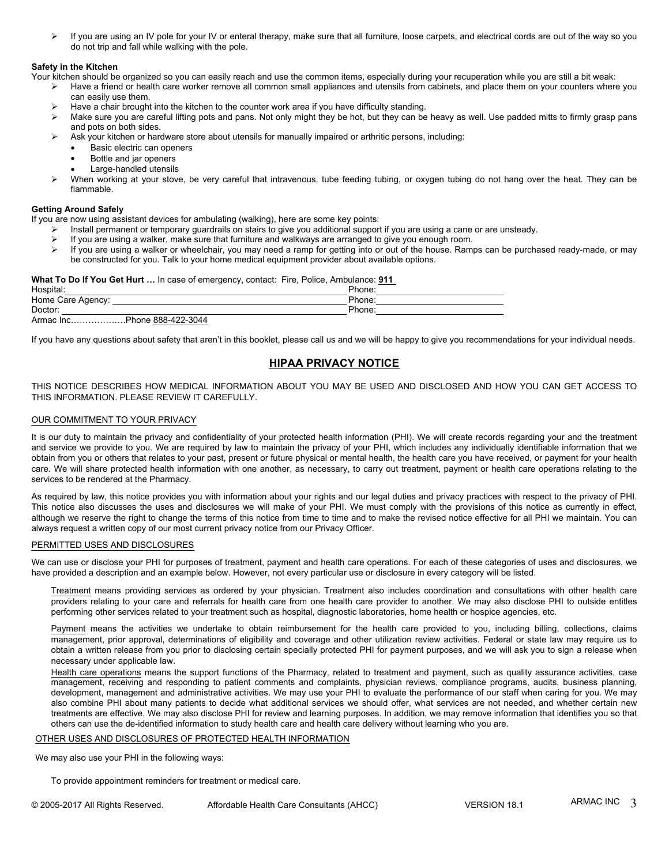$\triangleright$  If you are using an IV pole for your IV or enteral therapy, make sure that all furniture, loose carpets, and electrical cords are out of the way so you do not trip and fall while walking with the pole.

## **Safety in the Kitchen**

Your kitchen should be organized so you can easily reach and use the common items, especially during your recuperation while you are still a bit weak:

- $\triangleright$  Have a friend or health care worker remove all common small appliances and utensils from cabinets, and place them on your counters where you can easily use them.
- Have a chair brought into the kitchen to the counter work area if you have difficulty standing.
- $\triangleright$  Make sure you are careful lifting pots and pans. Not only might they be hot, but they can be heavy as well. Use padded mitts to firmly grasp pans and pots on both sides.
- Ask your kitchen or hardware store about utensils for manually impaired or arthritic persons, including:
	- Basic electric can openers
	- Bottle and jar openers
	- Large-handled utensils
- ▶ When working at your stove, be very careful that intravenous, tube feeding tubing, or oxygen tubing do not hang over the heat. They can be flammable.

## **Getting Around Safely**

If you are now using assistant devices for ambulating (walking), here are some key points:

- $\triangleright$  Install permanent or temporary guardrails on stairs to give you additional support if you are using a cane or are unsteady.
- If you are using a walker, make sure that furniture and walkways are arranged to give you enough room.<br>If you are using a walker or wheelchair, you may need a ramp for getting into or out of the bouse. Raming
- If you are using a walker or wheelchair, you may need a ramp for getting into or out of the house. Ramps can be purchased ready-made, or may be constructed for you. Talk to your home medical equipment provider about available options.

#### **What To Do If You Get Hurt …** In case of emergency, contact: Fire, Police, Ambulance: **911**

| Hospital:                   | Phone: |
|-----------------------------|--------|
| Home Care Agency:           | Phone: |
| Doctor:                     | Phone: |
| Armac IncPhone 888-422-3044 |        |

If you have any questions about safety that aren't in this booklet, please call us and we will be happy to give you recommendations for your individual needs.

# **HIPAA PRIVACY NOTICE**

THIS NOTICE DESCRIBES HOW MEDICAL INFORMATION ABOUT YOU MAY BE USED AND DISCLOSED AND HOW YOU CAN GET ACCESS TO THIS INFORMATION. PLEASE REVIEW IT CAREFULLY.

## OUR COMMITMENT TO YOUR PRIVACY

It is our duty to maintain the privacy and confidentiality of your protected health information (PHI). We will create records regarding your and the treatment and service we provide to you. We are required by law to maintain the privacy of your PHI, which includes any individually identifiable information that we obtain from you or others that relates to your past, present or future physical or mental health, the health care you have received, or payment for your health care. We will share protected health information with one another, as necessary, to carry out treatment, payment or health care operations relating to the services to be rendered at the Pharmacy.

As required by law, this notice provides you with information about your rights and our legal duties and privacy practices with respect to the privacy of PHI. This notice also discusses the uses and disclosures we will make of your PHI. We must comply with the provisions of this notice as currently in effect, although we reserve the right to change the terms of this notice from time to time and to make the revised notice effective for all PHI we maintain. You can always request a written copy of our most current privacy notice from our Privacy Officer.

#### PERMITTED USES AND DISCLOSURES

We can use or disclose your PHI for purposes of treatment, payment and health care operations. For each of these categories of uses and disclosures, we have provided a description and an example below. However, not every particular use or disclosure in every category will be listed.

Treatment means providing services as ordered by your physician. Treatment also includes coordination and consultations with other health care providers relating to your care and referrals for health care from one health care provider to another. We may also disclose PHI to outside entitles performing other services related to your treatment such as hospital, diagnostic laboratories, home health or hospice agencies, etc.

Payment means the activities we undertake to obtain reimbursement for the health care provided to you, including billing, collections, claims management, prior approval, determinations of eligibility and coverage and other utilization review activities. Federal or state law may require us to obtain a written release from you prior to disclosing certain specially protected PHI for payment purposes, and we will ask you to sign a release when necessary under applicable law.

Health care operations means the support functions of the Pharmacy, related to treatment and payment, such as quality assurance activities, case management, receiving and responding to patient comments and complaints, physician reviews, compliance programs, audits, business planning, development, management and administrative activities. We may use your PHI to evaluate the performance of our staff when caring for you. We may also combine PHI about many patients to decide what additional services we should offer, what services are not needed, and whether certain new treatments are effective. We may also disclose PHI for review and learning purposes. In addition, we may remove information that identifies you so that others can use the de-identified information to study health care and health care delivery without learning who you are.

# OTHER USES AND DISCLOSURES OF PROTECTED HEALTH INFORMATION

We may also use your PHI in the following ways:

To provide appointment reminders for treatment or medical care.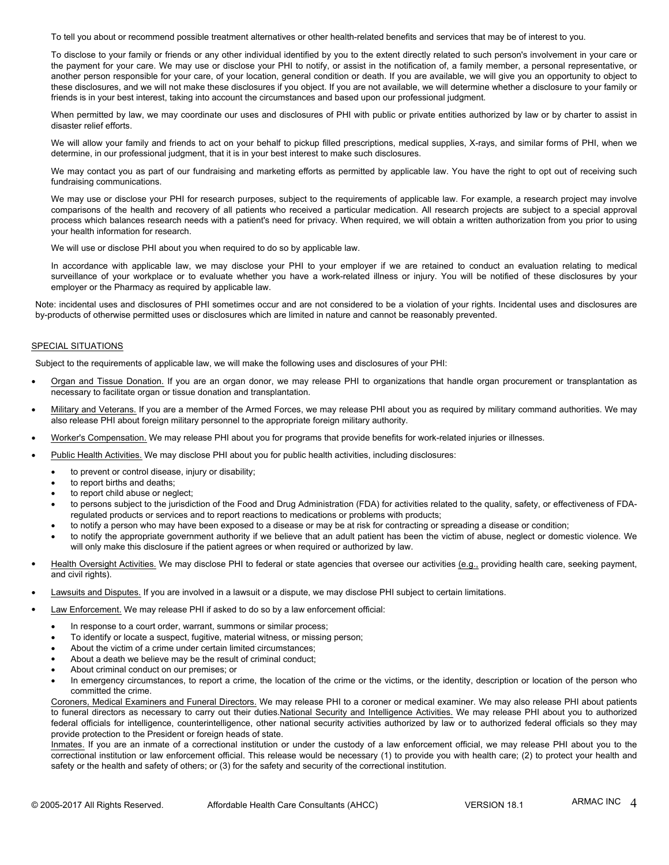To tell you about or recommend possible treatment alternatives or other health-related benefits and services that may be of interest to you.

To disclose to your family or friends or any other individual identified by you to the extent directly related to such person's involvement in your care or the payment for your care. We may use or disclose your PHI to notify, or assist in the notification of, a family member, a personal representative, or another person responsible for your care, of your location, general condition or death. If you are available, we will give you an opportunity to object to these disclosures, and we will not make these disclosures if you object. If you are not available, we will determine whether a disclosure to your family or friends is in your best interest, taking into account the circumstances and based upon our professional judgment.

When permitted by law, we may coordinate our uses and disclosures of PHI with public or private entities authorized by law or by charter to assist in disaster relief efforts.

We will allow your family and friends to act on your behalf to pickup filled prescriptions, medical supplies, X-rays, and similar forms of PHI, when we determine, in our professional judgment, that it is in your best interest to make such disclosures.

We may contact you as part of our fundraising and marketing efforts as permitted by applicable law. You have the right to opt out of receiving such fundraising communications.

We may use or disclose your PHI for research purposes, subject to the requirements of applicable law. For example, a research project may involve comparisons of the health and recovery of all patients who received a particular medication. All research projects are subject to a special approval process which balances research needs with a patient's need for privacy. When required, we will obtain a written authorization from you prior to using your health information for research.

We will use or disclose PHI about you when required to do so by applicable law.

In accordance with applicable law, we may disclose your PHI to your employer if we are retained to conduct an evaluation relating to medical surveillance of your workplace or to evaluate whether you have a work-related illness or injury. You will be notified of these disclosures by your employer or the Pharmacy as required by applicable law.

Note: incidental uses and disclosures of PHI sometimes occur and are not considered to be a violation of your rights. Incidental uses and disclosures are by-products of otherwise permitted uses or disclosures which are limited in nature and cannot be reasonably prevented.

# SPECIAL SITUATIONS

Subject to the requirements of applicable law, we will make the following uses and disclosures of your PHI:

- Organ and Tissue Donation. If you are an organ donor, we may release PHI to organizations that handle organ procurement or transplantation as necessary to facilitate organ or tissue donation and transplantation.
- Military and Veterans. If you are a member of the Armed Forces, we may release PHI about you as required by military command authorities. We may also release PHI about foreign military personnel to the appropriate foreign military authority.
- Worker's Compensation. We may release PHI about you for programs that provide benefits for work-related injuries or illnesses.
- Public Health Activities. We may disclose PHI about you for public health activities, including disclosures:
	- to prevent or control disease, injury or disability;
	- to report births and deaths;
	- to report child abuse or neglect;
	- to persons subject to the jurisdiction of the Food and Drug Administration (FDA) for activities related to the quality, safety, or effectiveness of FDAregulated products or services and to report reactions to medications or problems with products;
	- to notify a person who may have been exposed to a disease or may be at risk for contracting or spreading a disease or condition;
	- to notify the appropriate government authority if we believe that an adult patient has been the victim of abuse, neglect or domestic violence. We will only make this disclosure if the patient agrees or when required or authorized by law.
- Health Oversight Activities. We may disclose PHI to federal or state agencies that oversee our activities (e.g., providing health care, seeking payment, and civil rights).
- Lawsuits and Disputes. If you are involved in a lawsuit or a dispute, we may disclose PHI subject to certain limitations.
- Law Enforcement. We may release PHI if asked to do so by a law enforcement official:
	- In response to a court order, warrant, summons or similar process;
	- To identify or locate a suspect, fugitive, material witness, or missing person;
	- About the victim of a crime under certain limited circumstances;
	- About a death we believe may be the result of criminal conduct;
	- About criminal conduct on our premises; or
	- In emergency circumstances, to report a crime, the location of the crime or the victims, or the identity, description or location of the person who committed the crime.

Coroners, Medical Examiners and Funeral Directors. We may release PHI to a coroner or medical examiner. We may also release PHI about patients to funeral directors as necessary to carry out their duties.National Security and Intelligence Activities. We may release PHI about you to authorized federal officials for intelligence, counterintelligence, other national security activities authorized by law or to authorized federal officials so they may provide protection to the President or foreign heads of state.

Inmates. If you are an inmate of a correctional institution or under the custody of a law enforcement official, we may release PHI about you to the correctional institution or law enforcement official. This release would be necessary (1) to provide you with health care; (2) to protect your health and safety or the health and safety of others; or (3) for the safety and security of the correctional institution.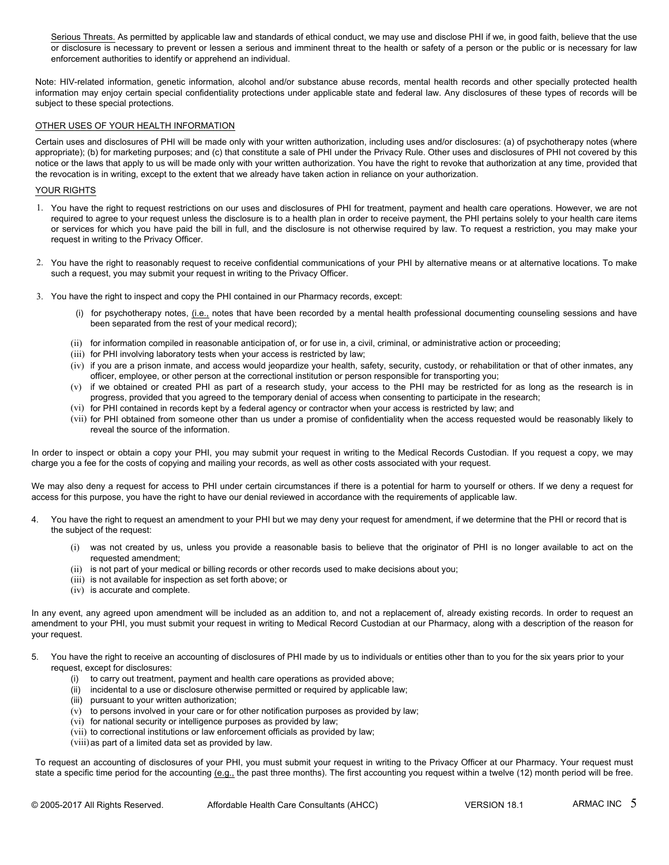Serious Threats. As permitted by applicable law and standards of ethical conduct, we may use and disclose PHI if we, in good faith, believe that the use or disclosure is necessary to prevent or lessen a serious and imminent threat to the health or safety of a person or the public or is necessary for law enforcement authorities to identify or apprehend an individual.

Note: HIV-related information, genetic information, alcohol and/or substance abuse records, mental health records and other specially protected health information may enjoy certain special confidentiality protections under applicable state and federal law. Any disclosures of these types of records will be subject to these special protections.

## OTHER USES OF YOUR HEALTH INFORMATION

Certain uses and disclosures of PHI will be made only with your written authorization, including uses and/or disclosures: (a) of psychotherapy notes (where appropriate); (b) for marketing purposes; and (c) that constitute a sale of PHI under the Privacy Rule. Other uses and disclosures of PHI not covered by this notice or the laws that apply to us will be made only with your written authorization. You have the right to revoke that authorization at any time, provided that the revocation is in writing, except to the extent that we already have taken action in reliance on your authorization.

## YOUR RIGHTS

- 1. You have the right to request restrictions on our uses and disclosures of PHI for treatment, payment and health care operations. However, we are not required to agree to your request unless the disclosure is to a health plan in order to receive payment, the PHI pertains solely to your health care items or services for which you have paid the bill in full, and the disclosure is not otherwise required by law. To request a restriction, you may make your request in writing to the Privacy Officer. (i) for intermapy, except to the extent that we enterdy have taken addon in renance on your adutohzation.<br>HTS<br>are the right to request tenstes the disclosure is to a health plan in order to receive payment, the PHI pertain
- 2. You have the right to reasonably request to receive confidential communications of your PHI by alternative means or at alternative locations. To make such a request, you may submit your request in writing to the Privacy Officer.
- 3. You have the right to inspect and copy the PHI contained in our Pharmacy records, except:
	- been separated from the rest of your medical record);
	- (ii) for information compiled in reasonable anticipation of, or for use in, a civil, criminal, or administrative action or proceeding;
	- (iii) for PHI involving laboratory tests when your access is restricted by law;
	- (iv) if you are a prison inmate, and access would jeopardize your health, safety, security, custody, or rehabilitation or that of other inmates, any officer, employee, or other person at the correctional institution or person responsible for transporting you;
	- (v) if we obtained or created PHI as part of a research study, your access to the PHI may be restricted for as long as the research is in progress, provided that you agreed to the temporary denial of access when consenting to participate in the research;
	- (vi) for PHI contained in records kept by a federal agency or contractor when your access is restricted by law; and
	- (vii) for PHI obtained from someone other than us under a promise of confidentiality when the access requested would be reasonably likely to reveal the source of the information.

In order to inspect or obtain a copy your PHI, you may submit your request in writing to the Medical Records Custodian. If you request a copy, we may charge you a fee for the costs of copying and mailing your records, as well as other costs associated with your request. (v) if we obtained or created PHI as part of a research study, your access to the PHI may be restricted for as long as the research is in progress, provided that you agreed to the remporary denial of access when conserting

We may also deny a request for access to PHI under certain circumstances if there is a potential for harm to yourself or others. If we deny a request for access for this purpose, you have the right to have our denial reviewed in accordance with the requirements of applicable law.

- the subject of the request:
	- (i) was not created by us, unless you provide a reasonable basis to believe that the originator of PHI is no longer available to act on the requested amendment;
	- (ii) is not part of your medical or billing records or other records used to make decisions about you;
	- (iii) is not available for inspection as set forth above; or
	- (iv) is accurate and complete.

In any event, any agreed upon amendment will be included as an addition to, and not a replacement of, already existing records. In order to request an amendment to your PHI, you must submit your request in writing to Medical Record Custodian at our Pharmacy, along with a description of the reason for your request. 4. You have the right to request an annendment to your PHI but we may deny your request for amendment, it we determine that the PHI is no longer available to act on the<br>
frequested amendment;<br>
(i) was not created by us, un (i) was not created by us, unless you provide a reasonable basis to believe that the origin<br>requested amendment;<br>(ii) is not part of your medical or billing records or other records used to make decisions about<br>(iii) is n requested amendment;<br>
(ii) is not part of your medical or billing records or other records used to make decisions about you<br>
(iii) is not available for inspection as set forth above; or<br>
(iv) is accurate and complete.<br>
ent (ii) is not part of your medical or billing records or oth<br>
(iii) is not available for inspection as set forth above; c<br>
(iv) is accurate and complete.<br>
ent, any agreed upon amendment will be included as<br>
nt to your PHI,

- request, except for disclosures:
	-
	-
	-
	- (v) to persons involved in your care or for other notification purposes as provided by law;
	- (vi) for national security or intelligence purposes as provided by law;
	- (vii) to correctional institutions or law enforcement officials as provided by law;
	- (viii)as part of a limited data set as provided by law.

To request an accounting of disclosures of your PHI, you must submit your request in writing to the Privacy Officer at our Pharmacy. Your request must state a specific time period for the accounting (e.g., the past three months). The first accounting you request within a twelve (12) month period will be free.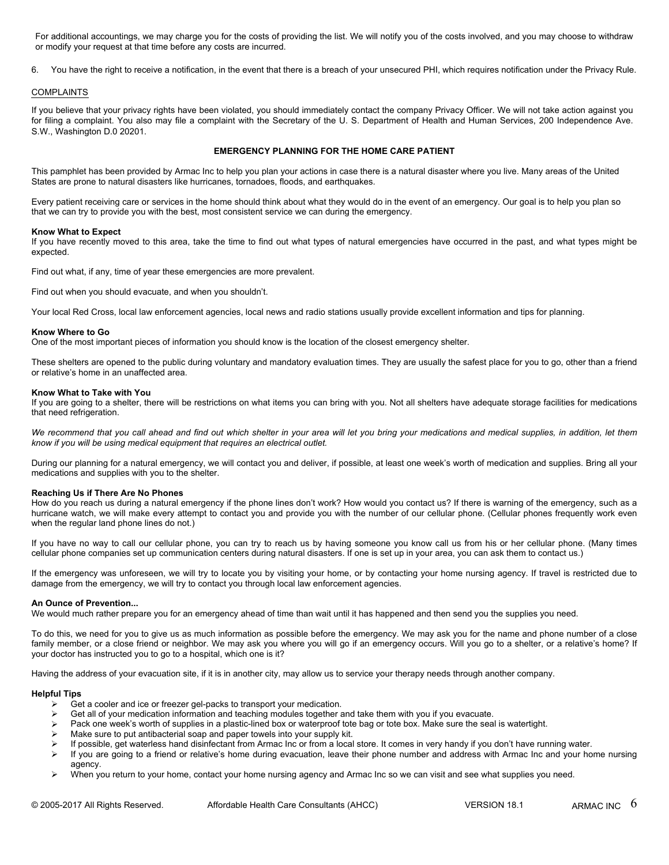For additional accountings, we may charge you for the costs of providing the list. We will notify you of the costs involved, and you may choose to withdraw or modify your request at that time before any costs are incurred. For additional accountings, we may charge you for the costs of providing the list. We will notify you of the costs involved, and you may choose to withdraw<br>or modify your request at that time before any costs are incurred.

## COMPLAINTS

If you believe that your privacy rights have been violated, you should immediately contact the company Privacy Officer. We will not take action against you for filing a complaint. You also may file a complaint with the Secretary of the U. S. Department of Health and Human Services, 200 Independence Ave. S.W., Washington D.0 20201.

# **EMERGENCY PLANNING FOR THE HOME CARE PATIENT**

This pamphlet has been provided by Armac Inc to help you plan your actions in case there is a natural disaster where you live. Many areas of the United States are prone to natural disasters like hurricanes, tornadoes, floods, and earthquakes.

Every patient receiving care or services in the home should think about what they would do in the event of an emergency. Our goal is to help you plan so that we can try to provide you with the best, most consistent service we can during the emergency.

#### **Know What to Expect**

If you have recently moved to this area, take the time to find out what types of natural emergencies have occurred in the past, and what types might be expected.

Find out what, if any, time of year these emergencies are more prevalent.

Find out when you should evacuate, and when you shouldn't.

Your local Red Cross, local law enforcement agencies, local news and radio stations usually provide excellent information and tips for planning.

#### **Know Where to Go**

One of the most important pieces of information you should know is the location of the closest emergency shelter.

These shelters are opened to the public during voluntary and mandatory evaluation times. They are usually the safest place for you to go, other than a friend or relative's home in an unaffected area.

#### **Know What to Take with You**

If you are going to a shelter, there will be restrictions on what items you can bring with you. Not all shelters have adequate storage facilities for medications that need refrigeration.

We recommend that you call ahead and find out which shelter in your area will let you bring your medications and medical supplies, in addition, let them *know if you will be using medical equipment that requires an electrical outlet.*

During our planning for a natural emergency, we will contact you and deliver, if possible, at least one week's worth of medication and supplies. Bring all your medications and supplies with you to the shelter.

# **Reaching Us if There Are No Phones**

How do you reach us during a natural emergency if the phone lines don't work? How would you contact us? If there is warning of the emergency, such as a hurricane watch, we will make every attempt to contact you and provide you with the number of our cellular phone. (Cellular phones frequently work even when the regular land phone lines do not.)

If you have no way to call our cellular phone, you can try to reach us by having someone you know call us from his or her cellular phone. (Many times cellular phone companies set up communication centers during natural disasters. If one is set up in your area, you can ask them to contact us.)

If the emergency was unforeseen, we will try to locate you by visiting your home, or by contacting your home nursing agency. If travel is restricted due to damage from the emergency, we will try to contact you through local law enforcement agencies.

#### **An Ounce of Prevention...**

We would much rather prepare you for an emergency ahead of time than wait until it has happened and then send you the supplies you need.

To do this, we need for you to give us as much information as possible before the emergency. We may ask you for the name and phone number of a close family member, or a close friend or neighbor. We may ask you where you will go if an emergency occurs. Will you go to a shelter, or a relative's home? If your doctor has instructed you to go to a hospital, which one is it?

Having the address of your evacuation site, if it is in another city, may allow us to service your therapy needs through another company.

# **Helpful Tips**

- $\geq$  Get a cooler and ice or freezer gel-packs to transport your medication.<br>
Get all of your medication information and teaching modules together a
- Get all of your medication information and teaching modules together and take them with you if you evacuate.
- Pack one week's worth of supplies in a plastic-lined box or waterproof tote bag or tote box. Make sure the seal is watertight.
- Make sure to put antibacterial soap and paper towels into your supply kit.
- If possible, get waterless hand disinfectant from Armac Inc or from a local store. It comes in very handy if you don't have running water.
- $\triangleright$  If you are going to a friend or relative's home during evacuation, leave their phone number and address with Armac Inc and your home nursing agency.
- ▶ When you return to your home, contact your home nursing agency and Armac Inc so we can visit and see what supplies you need.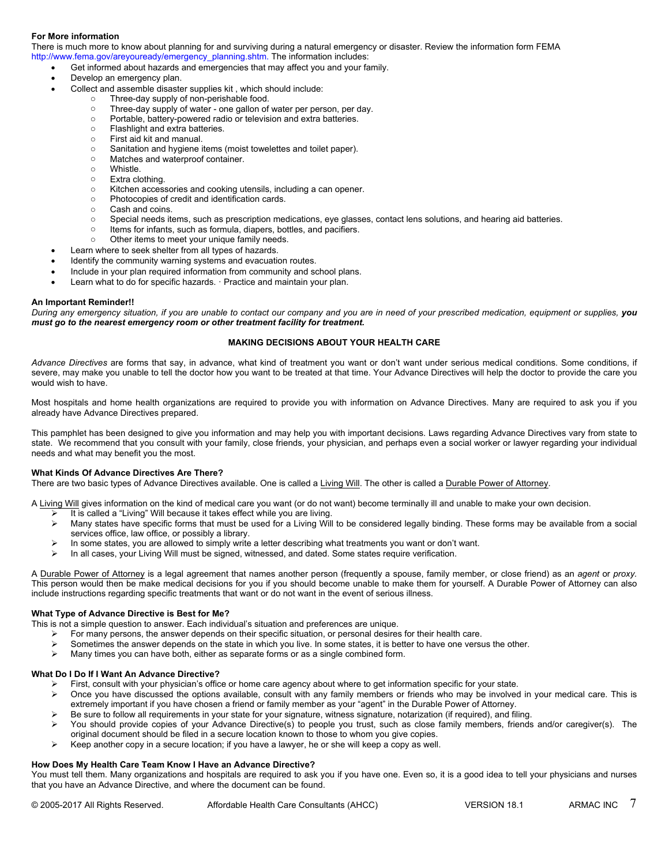# **For More information**

There is much more to know about planning for and surviving during a natural emergency or disaster. Review the information form FEMA http://www.fema.gov/areyouready/emergency\_planning.shtm. The information includes:

Get informed about hazards and emergencies that may affect you and your family.

- Develop an emergency plan.
	- Collect and assemble disaster supplies kit, which should include:<br> **Collect and assemble disaster supplies kit, which should include:** 
		- Three-day supply of non-perishable food.
			- o Three-day supply of water one gallon of water per person, per day.
			- o Portable, battery-powered radio or television and extra batteries.
			- o Flashlight and extra batteries.
			- o First aid kit and manual.
			- o Sanitation and hygiene items (moist towelettes and toilet paper).
			- o Matches and waterproof container.
			- o Whistle.<br>o Extra clo
			- Extra clothing.
			- o Kitchen accessories and cooking utensils, including a can opener.
			- o Photocopies of credit and identification cards.
			- o Cash and coins.
			- o Special needs items, such as prescription medications, eye glasses, contact lens solutions, and hearing aid batteries.
			- o Items for infants, such as formula, diapers, bottles, and pacifiers.
			- o Other items to meet your unique family needs.
- Learn where to seek shelter from all types of hazards.
- Identify the community warning systems and evacuation routes.
- Include in your plan required information from community and school plans.
- Learn what to do for specific hazards. · Practice and maintain your plan.

#### **An Important Reminder!!**

*During any emergency situation, if you are unable to contact our company and you are in need of your prescribed medication, equipment or supplies, you must go to the nearest emergency room or other treatment facility for treatment.* 

# **MAKING DECISIONS ABOUT YOUR HEALTH CARE**

*Advance Directives* are forms that say, in advance, what kind of treatment you want or don't want under serious medical conditions. Some conditions, if severe, may make you unable to tell the doctor how you want to be treated at that time. Your Advance Directives will help the doctor to provide the care you would wish to have.

Most hospitals and home health organizations are required to provide you with information on Advance Directives. Many are required to ask you if you already have Advance Directives prepared.

This pamphlet has been designed to give you information and may help you with important decisions. Laws regarding Advance Directives vary from state to state. We recommend that you consult with your family, close friends, your physician, and perhaps even a social worker or lawyer regarding your individual needs and what may benefit you the most.

# **What Kinds Of Advance Directives Are There?**

There are two basic types of Advance Directives available. One is called a Living Will. The other is called a Durable Power of Attorney.

A Living Will gives information on the kind of medical care you want (or do not want) become terminally ill and unable to make your own decision.

- It is called a "Living" Will because it takes effect while you are living.
- > Many states have specific forms that must be used for a Living Will to be considered legally binding. These forms may be available from a social services office, law office, or possibly a library.
- $\triangleright$  In some states, you are allowed to simply write a letter describing what treatments you want or don't want.
- $\triangleright$  In all cases, your Living Will must be signed, witnessed, and dated. Some states require verification.

A Durable Power of Attorney is a legal agreement that names another person (frequently a spouse, family member, or close friend) as an *agent* or *proxy.*  This person would then be make medical decisions for you if you should become unable to make them for yourself. A Durable Power of Attorney can also include instructions regarding specific treatments that want or do not want in the event of serious illness.

#### **What Type of Advance Directive is Best for Me?**

This is not a simple question to answer. Each individual's situation and preferences are unique.

- For many persons, the answer depends on their specific situation, or personal desires for their health care.
- Sometimes the answer depends on the state in which you live. In some states, it is better to have one versus the other.<br>Many times you can have both either as separate forms or as a single combined form
- Many times you can have both, either as separate forms or as a single combined form.

# **What Do I Do If I Want An Advance Directive?**

- First, consult with your physician's office or home care agency about where to get information specific for your state.<br>
Sonce you have discussed the options available, consult with any family members or friends who may b
- Once you have discussed the options available, consult with any family members or friends who may be involved in your medical care. This is extremely important if you have chosen a friend or family member as your "agent" in the Durable Power of Attorney.
- $\triangleright$  Be sure to follow all requirements in your state for your signature, witness signature, notarization (if required), and filing.
- $\triangleright$  You should provide copies of your Advance Directive(s) to people you trust, such as close family members, friends and/or caregiver(s). The original document should be filed in a secure location known to those to whom you give copies.
- $\triangleright$  Keep another copy in a secure location; if you have a lawyer, he or she will keep a copy as well.

# **How Does My Health Care Team Know I Have an Advance Directive?**

You must tell them. Many organizations and hospitals are required to ask you if you have one. Even so, it is a good idea to tell your physicians and nurses that you have an Advance Directive, and where the document can be found.